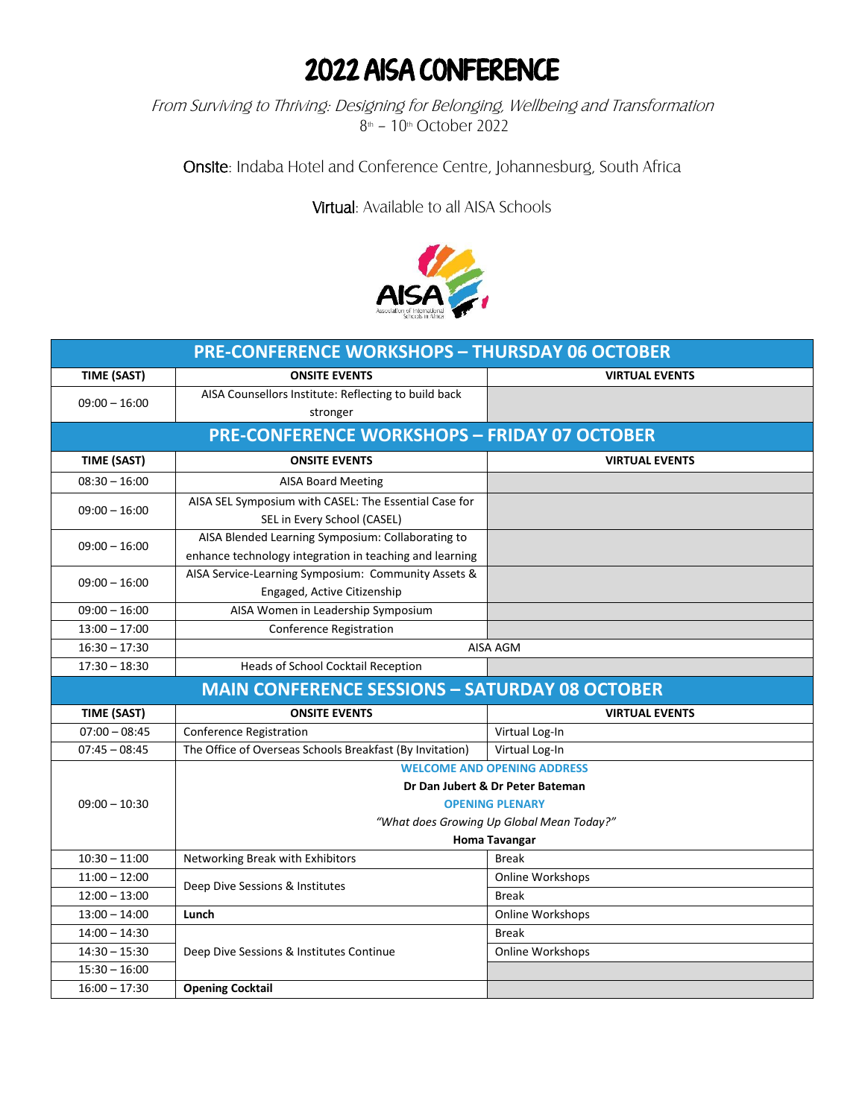## 2022 AISA CONFERENCE

From Surviving to Thriving: Designing for Belonging, Wellbeing and Transformation 8<sup>th</sup> - 10<sup>th</sup> October 2022

Onsite: Indaba Hotel and Conference Centre, Johannesburg, South Africa

Virtual: Available to all AISA Schools



| <b>PRE-CONFERENCE WORKSHOPS - THURSDAY 06 OCTOBER</b> |                                                                                                              |                       |  |
|-------------------------------------------------------|--------------------------------------------------------------------------------------------------------------|-----------------------|--|
| <b>TIME (SAST)</b>                                    | <b>ONSITE EVENTS</b>                                                                                         | <b>VIRTUAL EVENTS</b> |  |
| $09:00 - 16:00$                                       | AISA Counsellors Institute: Reflecting to build back<br>stronger                                             |                       |  |
| <b>PRE-CONFERENCE WORKSHOPS - FRIDAY 07 OCTOBER</b>   |                                                                                                              |                       |  |
| TIME (SAST)                                           | <b>ONSITE EVENTS</b>                                                                                         | <b>VIRTUAL EVENTS</b> |  |
| $08:30 - 16:00$                                       | <b>AISA Board Meeting</b>                                                                                    |                       |  |
| $09:00 - 16:00$                                       | AISA SEL Symposium with CASEL: The Essential Case for<br>SEL in Every School (CASEL)                         |                       |  |
| $09:00 - 16:00$                                       | AISA Blended Learning Symposium: Collaborating to<br>enhance technology integration in teaching and learning |                       |  |
| $09:00 - 16:00$                                       | AISA Service-Learning Symposium: Community Assets &<br>Engaged, Active Citizenship                           |                       |  |
| $09:00 - 16:00$                                       | AISA Women in Leadership Symposium                                                                           |                       |  |
| $13:00 - 17:00$                                       | Conference Registration                                                                                      |                       |  |
| $16:30 - 17:30$                                       | AISA AGM                                                                                                     |                       |  |
| $17:30 - 18:30$                                       | Heads of School Cocktail Reception                                                                           |                       |  |
|                                                       | <b>MAIN CONFERENCE SESSIONS - SATURDAY 08 OCTOBER</b>                                                        |                       |  |
| <b>TIME (SAST)</b>                                    | <b>ONSITE EVENTS</b>                                                                                         | <b>VIRTUAL EVENTS</b> |  |
| $07:00 - 08:45$                                       | <b>Conference Registration</b>                                                                               | Virtual Log-In        |  |
| $07:45 - 08:45$                                       | The Office of Overseas Schools Breakfast (By Invitation)                                                     | Virtual Log-In        |  |
|                                                       | <b>WELCOME AND OPENING ADDRESS</b>                                                                           |                       |  |
|                                                       | Dr Dan Jubert & Dr Peter Bateman                                                                             |                       |  |
| $09:00 - 10:30$                                       | <b>OPENING PLENARY</b>                                                                                       |                       |  |
|                                                       | "What does Growing Up Global Mean Today?"                                                                    |                       |  |
|                                                       | <b>Homa Tavangar</b>                                                                                         |                       |  |
| $10:30 - 11:00$                                       | Networking Break with Exhibitors                                                                             | <b>Break</b>          |  |
| $11:00 - 12:00$                                       | Deep Dive Sessions & Institutes                                                                              | Online Workshops      |  |
| $12:00 - 13:00$                                       |                                                                                                              | <b>Break</b>          |  |
| $13:00 - 14:00$                                       | Lunch                                                                                                        | Online Workshops      |  |
| $14:00 - 14:30$                                       |                                                                                                              | <b>Break</b>          |  |
| $14:30 - 15:30$                                       | Deep Dive Sessions & Institutes Continue                                                                     | Online Workshops      |  |
| $15:30 - 16:00$                                       |                                                                                                              |                       |  |
| $16:00 - 17:30$                                       | <b>Opening Cocktail</b>                                                                                      |                       |  |